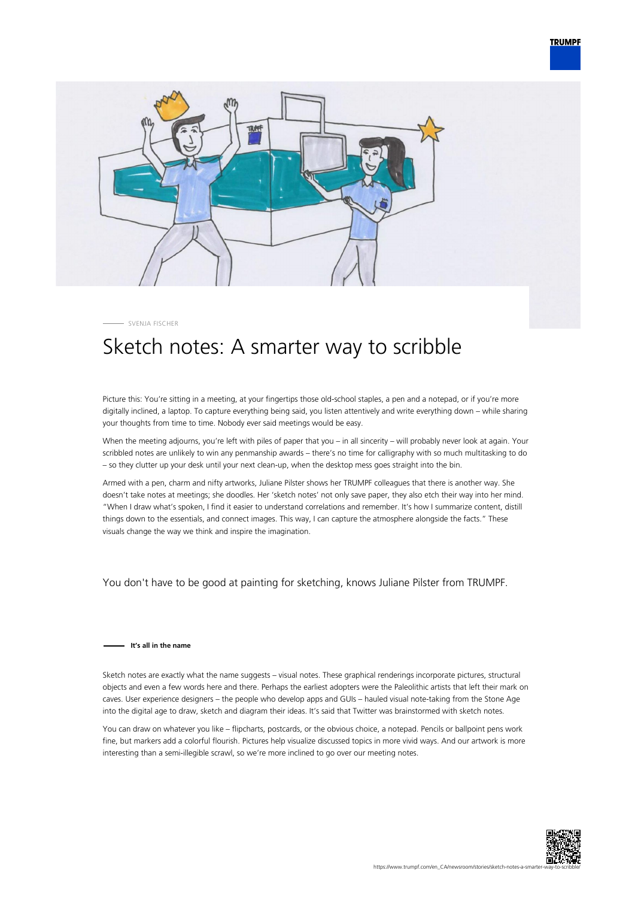



SVENJA FISCHER

## Sketch notes: A smarter way to scribble

Picture this: You're sitting in a meeting, at your fingertips those old-school staples, a pen and a notepad, or if you're more digitally inclined, a laptop. To capture everything being said, you listen attentively and write everything down – while sharing your thoughts from time to time. Nobody ever said meetings would be easy.

When the meeting adjourns, you're left with piles of paper that you – in all sincerity – will probably never look at again. Your scribbled notes are unlikely to win any penmanship awards – there's no time for calligraphy with so much multitasking to do – so they clutter up your desk until your next clean-up, when the desktop mess goes straight into the bin.

Armed with a pen, charm and nifty artworks, Juliane Pilster shows her TRUMPF colleagues that there is another way. She doesn't take notes at meetings; she doodles. Her 'sketch notes' not only save paper, they also etch their way into her mind. "When I draw what's spoken, I find it easier to understand correlations and remember. It's how I summarize content, distill things down to the essentials, and connect images. This way, I can capture the atmosphere alongside the facts." These visuals change the way we think and inspire the imagination.

You don't have to be good at painting for sketching, knows Juliane Pilster from TRUMPF.

## **It's all in the name**

Sketch notes are exactly what the name suggests – visual notes. These graphical renderings incorporate pictures, structural objects and even a few words here and there. Perhaps the earliest adopters were the Paleolithic artists that left their mark on caves. User experience designers – the people who develop apps and GUIs – hauled visual note-taking from the Stone Age into the digital age to draw, sketch and diagram their ideas. It's said that Twitter was brainstormed with sketch notes.

You can draw on whatever you like – flipcharts, postcards, or the obvious choice, a notepad. Pencils or ballpoint pens work fine, but markers add a colorful flourish. Pictures help visualize discussed topics in more vivid ways. And our artwork is more interesting than a semi-illegible scrawl, so we're more inclined to go over our meeting notes.